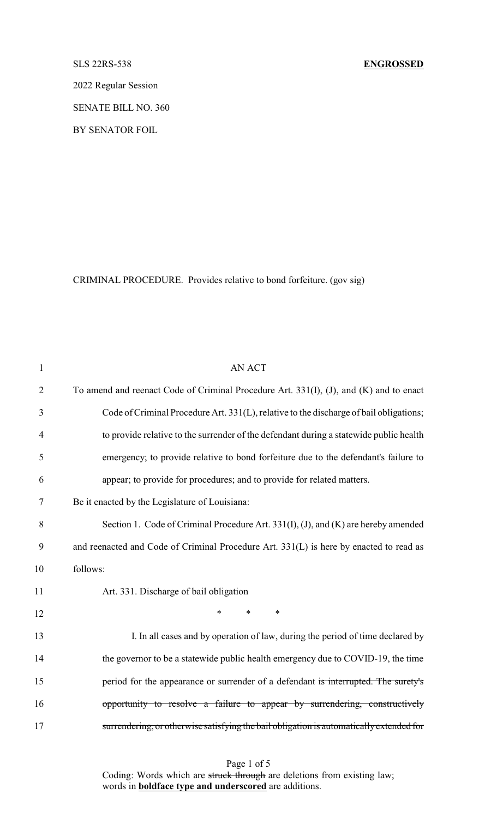2022 Regular Session

SENATE BILL NO. 360

BY SENATOR FOIL

CRIMINAL PROCEDURE. Provides relative to bond forfeiture. (gov sig)

| $\mathbf{1}$   | <b>AN ACT</b>                                                                           |
|----------------|-----------------------------------------------------------------------------------------|
| $\overline{2}$ | To amend and reenact Code of Criminal Procedure Art. 331(I), (J), and (K) and to enact  |
| $\mathfrak{Z}$ | Code of Criminal Procedure Art. 331(L), relative to the discharge of bail obligations;  |
| $\overline{4}$ | to provide relative to the surrender of the defendant during a statewide public health  |
| 5              | emergency; to provide relative to bond forfeiture due to the defendant's failure to     |
| 6              | appear; to provide for procedures; and to provide for related matters.                  |
| 7              | Be it enacted by the Legislature of Louisiana:                                          |
| 8              | Section 1. Code of Criminal Procedure Art. 331(I), (J), and (K) are hereby amended      |
| 9              | and reenacted and Code of Criminal Procedure Art. 331(L) is here by enacted to read as  |
| 10             | follows:                                                                                |
| 11             | Art. 331. Discharge of bail obligation                                                  |
| 12             | $\ast$<br>$\ast$<br>$\ast$                                                              |
| 13             | I. In all cases and by operation of law, during the period of time declared by          |
| 14             | the governor to be a statewide public health emergency due to COVID-19, the time        |
| 15             | period for the appearance or surrender of a defendant is interrupted. The surety's      |
| 16             | opportunity to resolve a failure to appear by surrendering, constructively              |
| 17             | surrendering, or otherwise satisfying the bail obligation is automatically extended for |
|                |                                                                                         |

Page 1 of 5 Coding: Words which are struck through are deletions from existing law; words in **boldface type and underscored** are additions.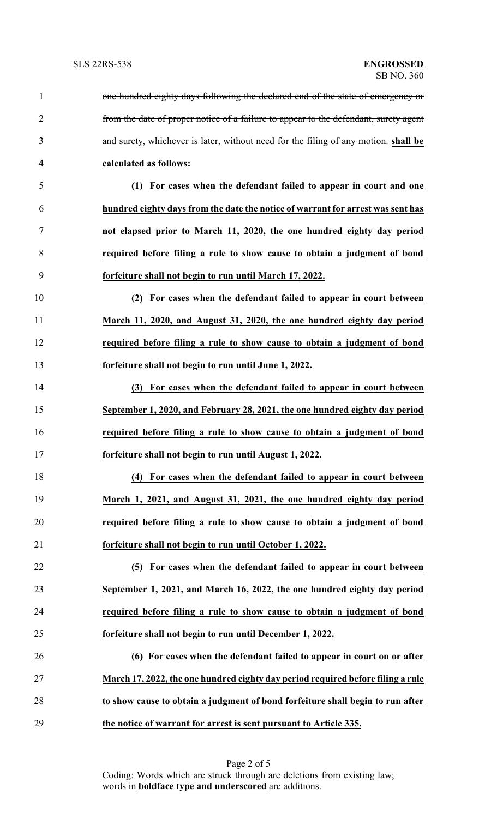| $\mathbf{1}$   | one hundred eighty days following the declared end of the state of emergency or      |
|----------------|--------------------------------------------------------------------------------------|
| $\overline{2}$ | from the date of proper notice of a failure to appear to the defendant, surety agent |
| 3              | and surety, whichever is later, without need for the filing of any motion. shall be  |
| $\overline{4}$ | calculated as follows:                                                               |
| 5              | (1) For cases when the defendant failed to appear in court and one                   |
| 6              | hundred eighty days from the date the notice of warrant for arrest was sent has      |
| 7              | not elapsed prior to March 11, 2020, the one hundred eighty day period               |
| 8              | required before filing a rule to show cause to obtain a judgment of bond             |
| 9              | forfeiture shall not begin to run until March 17, 2022.                              |
| 10             | (2) For cases when the defendant failed to appear in court between                   |
| 11             | March 11, 2020, and August 31, 2020, the one hundred eighty day period               |
| 12             | required before filing a rule to show cause to obtain a judgment of bond             |
| 13             | forfeiture shall not begin to run until June 1, 2022.                                |
| 14             | (3) For cases when the defendant failed to appear in court between                   |
| 15             | September 1, 2020, and February 28, 2021, the one hundred eighty day period          |
| 16             | required before filing a rule to show cause to obtain a judgment of bond             |
| 17             | forfeiture shall not begin to run until August 1, 2022.                              |
| 18             | (4) For cases when the defendant failed to appear in court between                   |
| 19             | March 1, 2021, and August 31, 2021, the one hundred eighty day period                |
| 20             | required before filing a rule to show cause to obtain a judgment of bond             |
| 21             | forfeiture shall not begin to run until October 1, 2022.                             |
| 22             | (5) For cases when the defendant failed to appear in court between                   |
| 23             | September 1, 2021, and March 16, 2022, the one hundred eighty day period             |
| 24             | required before filing a rule to show cause to obtain a judgment of bond             |
| 25             | forfeiture shall not begin to run until December 1, 2022.                            |
| 26             | (6) For cases when the defendant failed to appear in court on or after               |
| 27             | March 17, 2022, the one hundred eighty day period required before filing a rule      |
| 28             | to show cause to obtain a judgment of bond forfeiture shall begin to run after       |
| 29             | the notice of warrant for arrest is sent pursuant to Article 335.                    |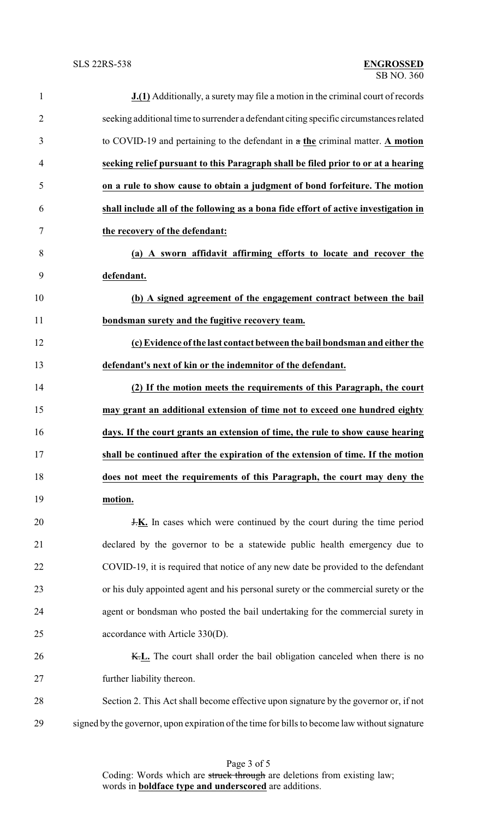| $\mathbf{1}$   | <b>J.(1)</b> Additionally, a surety may file a motion in the criminal court of records        |
|----------------|-----------------------------------------------------------------------------------------------|
| $\overline{2}$ | seeking additional time to surrender a defendant citing specific circumstances related        |
| 3              | to COVID-19 and pertaining to the defendant in $\alpha$ the criminal matter. A motion         |
| $\overline{4}$ | seeking relief pursuant to this Paragraph shall be filed prior to or at a hearing             |
| 5              | on a rule to show cause to obtain a judgment of bond forfeiture. The motion                   |
| 6              | shall include all of the following as a bona fide effort of active investigation in           |
| $\tau$         | the recovery of the defendant:                                                                |
| 8              | (a) A sworn affidavit affirming efforts to locate and recover the                             |
| 9              | defendant.                                                                                    |
| 10             | (b) A signed agreement of the engagement contract between the bail                            |
| 11             | bondsman surety and the fugitive recovery team.                                               |
| 12             | (c) Evidence of the last contact between the bail bondsman and either the                     |
| 13             | defendant's next of kin or the indemnitor of the defendant.                                   |
| 14             | (2) If the motion meets the requirements of this Paragraph, the court                         |
| 15             | may grant an additional extension of time not to exceed one hundred eighty                    |
| 16             | days. If the court grants an extension of time, the rule to show cause hearing                |
| 17             | shall be continued after the expiration of the extension of time. If the motion               |
| 18             | does not meet the requirements of this Paragraph, the court may deny the                      |
| 19             | motion.                                                                                       |
| 20             | <b>J.K.</b> In cases which were continued by the court during the time period                 |
| 21             | declared by the governor to be a statewide public health emergency due to                     |
| 22             | COVID-19, it is required that notice of any new date be provided to the defendant             |
| 23             | or his duly appointed agent and his personal surety or the commercial surety or the           |
| 24             | agent or bondsman who posted the bail undertaking for the commercial surety in                |
| 25             | accordance with Article 330(D).                                                               |
| 26             | K.L. The court shall order the bail obligation canceled when there is no                      |
| 27             | further liability thereon.                                                                    |
| 28             | Section 2. This Act shall become effective upon signature by the governor or, if not          |
| 29             | signed by the governor, upon expiration of the time for bills to become law without signature |

Page 3 of 5 Coding: Words which are struck through are deletions from existing law; words in **boldface type and underscored** are additions.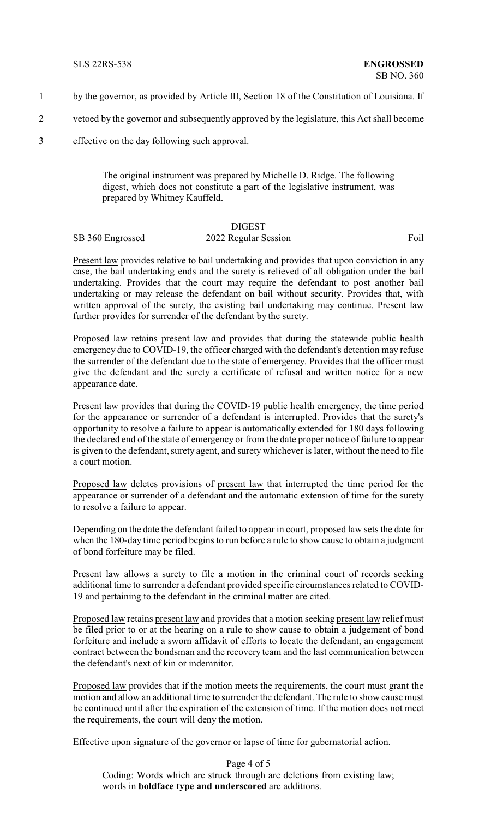- 1 by the governor, as provided by Article III, Section 18 of the Constitution of Louisiana. If
- 2 vetoed by the governor and subsequently approved by the legislature, this Act shall become
- 3 effective on the day following such approval.

The original instrument was prepared by Michelle D. Ridge. The following digest, which does not constitute a part of the legislative instrument, was prepared by Whitney Kauffeld.

## DIGEST SB 360 Engrossed 2022 Regular Session Foil

Present law provides relative to bail undertaking and provides that upon conviction in any case, the bail undertaking ends and the surety is relieved of all obligation under the bail undertaking. Provides that the court may require the defendant to post another bail undertaking or may release the defendant on bail without security. Provides that, with written approval of the surety, the existing bail undertaking may continue. Present law further provides for surrender of the defendant by the surety.

Proposed law retains present law and provides that during the statewide public health emergency due to COVID-19, the officer charged with the defendant's detention may refuse the surrender of the defendant due to the state of emergency. Provides that the officer must give the defendant and the surety a certificate of refusal and written notice for a new appearance date.

Present law provides that during the COVID-19 public health emergency, the time period for the appearance or surrender of a defendant is interrupted. Provides that the surety's opportunity to resolve a failure to appear is automatically extended for 180 days following the declared end of the state of emergency or from the date proper notice of failure to appear is given to the defendant, surety agent, and surety whichever is later, without the need to file a court motion.

Proposed law deletes provisions of present law that interrupted the time period for the appearance or surrender of a defendant and the automatic extension of time for the surety to resolve a failure to appear.

Depending on the date the defendant failed to appear in court, proposed law sets the date for when the 180-day time period begins to run before a rule to show cause to obtain a judgment of bond forfeiture may be filed.

Present law allows a surety to file a motion in the criminal court of records seeking additional time to surrender a defendant provided specific circumstances related to COVID-19 and pertaining to the defendant in the criminal matter are cited.

Proposed law retains present law and provides that a motion seeking present law relief must be filed prior to or at the hearing on a rule to show cause to obtain a judgement of bond forfeiture and include a sworn affidavit of efforts to locate the defendant, an engagement contract between the bondsman and the recovery team and the last communication between the defendant's next of kin or indemnitor.

Proposed law provides that if the motion meets the requirements, the court must grant the motion and allow an additional time to surrender the defendant. The rule to show cause must be continued until after the expiration of the extension of time. If the motion does not meet the requirements, the court will deny the motion.

Effective upon signature of the governor or lapse of time for gubernatorial action.

Page 4 of 5 Coding: Words which are struck through are deletions from existing law; words in **boldface type and underscored** are additions.